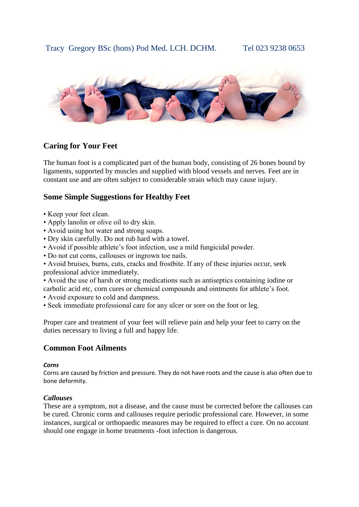

# **Caring for Your Feet**

The human foot is a complicated part of the human body, consisting of 26 bones bound by ligaments, supported by muscles and supplied with blood vessels and nerves. Feet are in constant use and are often subject to considerable strain which may cause injury.

# **Some Simple Suggestions for Healthy Feet**

- Keep your feet clean.
- Apply lanolin or olive oil to dry skin.
- Avoid using hot water and strong soaps.
- Dry skin carefully. Do not rub hard with a towel.
- Avoid if possible athlete's foot infection, use a mild fungicidal powder.
- Do not cut corns, callouses or ingrown toe nails.
- Avoid bruises, burns, cuts, cracks and frostbite. If any of these injuries occur, seek professional advice immediately.

• Avoid the use of harsh or strong medications such as antiseptics containing iodine or carbolic acid etc, corn cures or chemical compounds and ointments for athlete's foot.

- Avoid exposure to cold and dampness.
- Seek immediate professional care for any ulcer or sore on the foot or leg.

Proper care and treatment of your feet will relieve pain and help your feet to carry on the duties necessary to living a full and happy life.

## **Common Foot Ailments**

#### *Corns*

Corns are caused by friction and pressure. They do not have roots and the cause is also often due to bone deformity.

#### *Callouses*

These are a symptom, not a disease, and the cause must be corrected before the callouses can be cured. Chronic corns and callouses require periodic professional care. However, in some instances, surgical or orthopaedic measures may be required to effect a cure. On no account should one engage in home treatments -foot infection is dangerous.